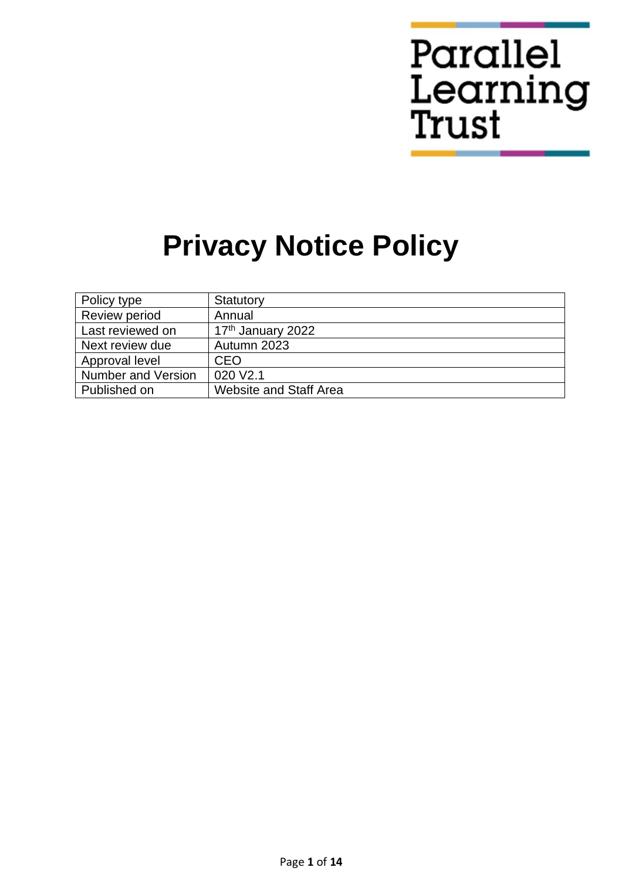# Parallel Learning<br>Trust

# **Privacy Notice Policy**

| Policy type               | Statutory                     |
|---------------------------|-------------------------------|
| Review period             | Annual                        |
| Last reviewed on          | 17 <sup>th</sup> January 2022 |
| Next review due           | Autumn 2023                   |
| Approval level            | <b>CEO</b>                    |
| <b>Number and Version</b> | 020 V <sub>2.1</sub>          |
| Published on              | <b>Website and Staff Area</b> |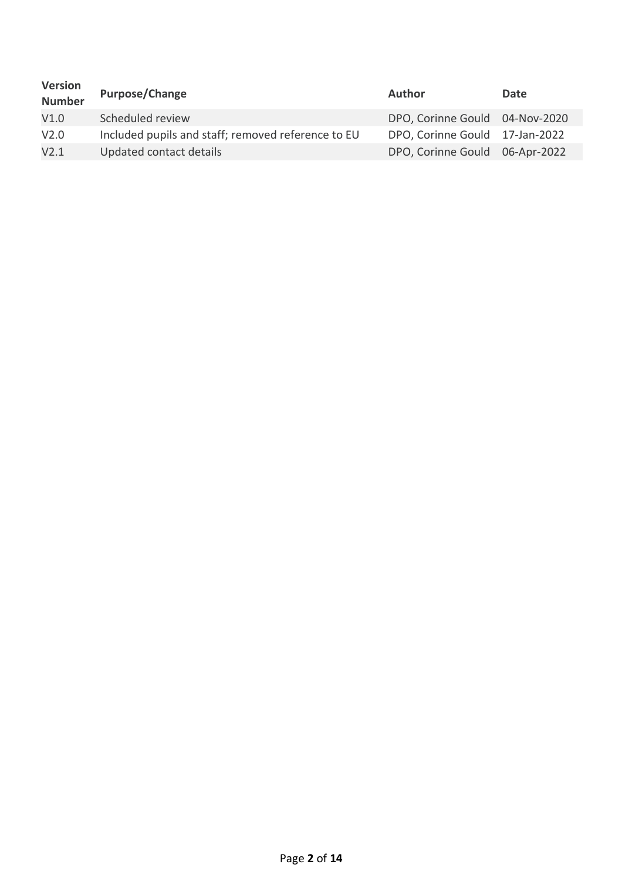| <b>Version</b><br><b>Number</b> | <b>Purpose/Change</b>                              | <b>Author</b>                  | Date |
|---------------------------------|----------------------------------------------------|--------------------------------|------|
| V1.0                            | Scheduled review                                   | DPO, Corinne Gould 04-Nov-2020 |      |
| V <sub>2.0</sub>                | Included pupils and staff; removed reference to EU | DPO, Corinne Gould 17-Jan-2022 |      |
| V2.1                            | Updated contact details                            | DPO, Corinne Gould 06-Apr-2022 |      |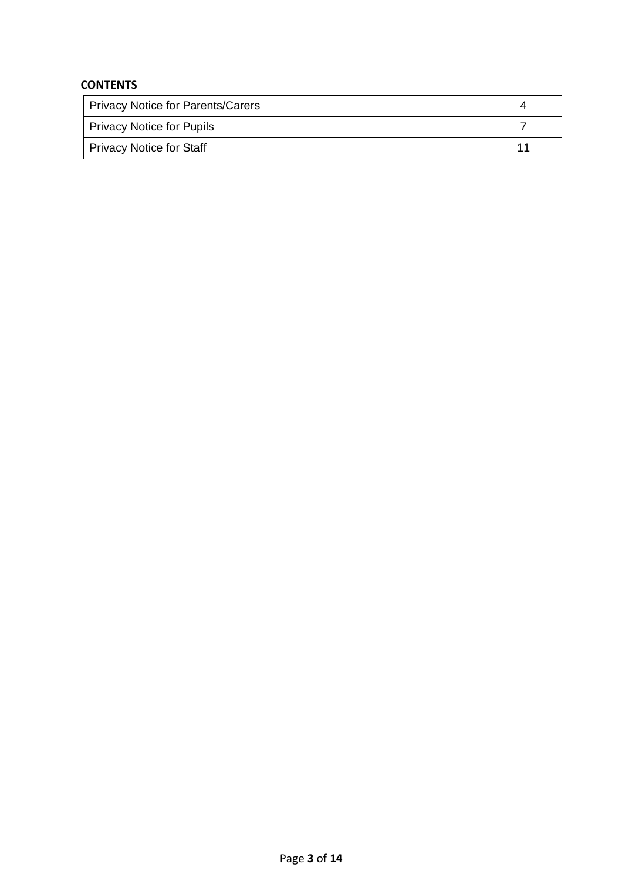# **CONTENTS**

| <b>Privacy Notice for Parents/Carers</b> |    |
|------------------------------------------|----|
| Privacy Notice for Pupils                |    |
| Privacy Notice for Staff                 | -1 |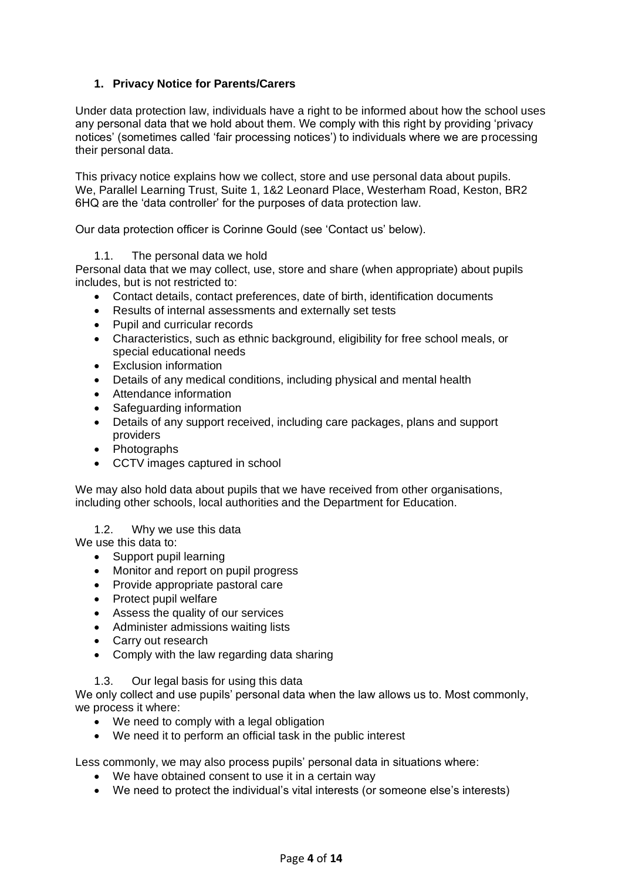# **1. Privacy Notice for Parents/Carers**

Under data protection law, individuals have a right to be informed about how the school uses any personal data that we hold about them. We comply with this right by providing 'privacy notices' (sometimes called 'fair processing notices') to individuals where we are processing their personal data.

This privacy notice explains how we collect, store and use personal data about pupils. We, Parallel Learning Trust, Suite 1, 1&2 Leonard Place, Westerham Road, Keston, BR2 6HQ are the 'data controller' for the purposes of data protection law.

Our data protection officer is Corinne Gould (see 'Contact us' below).

# 1.1. The personal data we hold

Personal data that we may collect, use, store and share (when appropriate) about pupils includes, but is not restricted to:

- Contact details, contact preferences, date of birth, identification documents
- Results of internal assessments and externally set tests
- Pupil and curricular records
- Characteristics, such as ethnic background, eligibility for free school meals, or special educational needs
- Exclusion information
- Details of any medical conditions, including physical and mental health
- Attendance information
- Safeguarding information
- Details of any support received, including care packages, plans and support providers
- Photographs
- CCTV images captured in school

We may also hold data about pupils that we have received from other organisations, including other schools, local authorities and the Department for Education.

1.2. Why we use this data

We use this data to:

- Support pupil learning
- Monitor and report on pupil progress
- Provide appropriate pastoral care
- Protect pupil welfare
- Assess the quality of our services
- Administer admissions waiting lists
- Carry out research
- Comply with the law regarding data sharing
- 1.3. Our legal basis for using this data

We only collect and use pupils' personal data when the law allows us to. Most commonly, we process it where:

- We need to comply with a legal obligation
- We need it to perform an official task in the public interest

Less commonly, we may also process pupils' personal data in situations where:

- We have obtained consent to use it in a certain way
- We need to protect the individual's vital interests (or someone else's interests)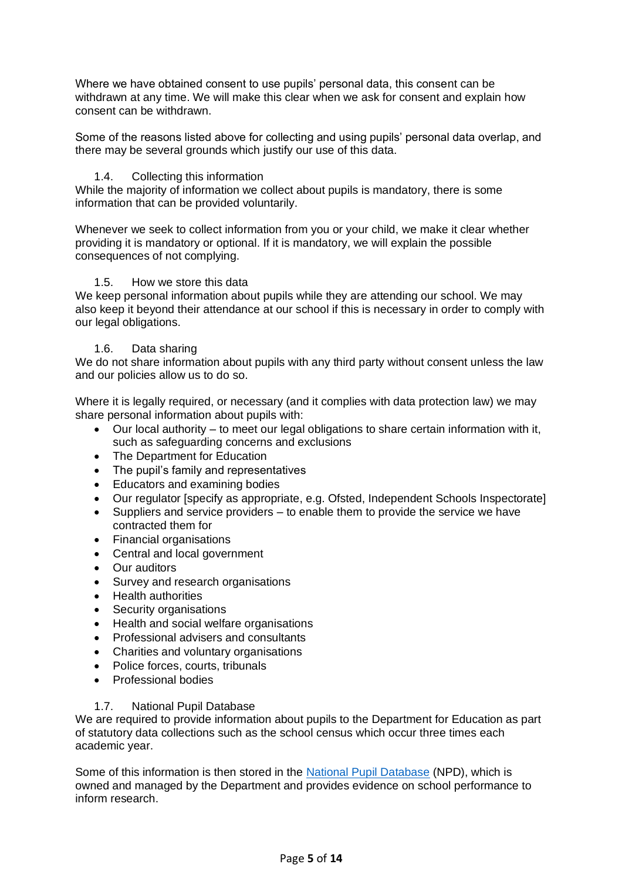Where we have obtained consent to use pupils' personal data, this consent can be withdrawn at any time. We will make this clear when we ask for consent and explain how consent can be withdrawn.

Some of the reasons listed above for collecting and using pupils' personal data overlap, and there may be several grounds which justify our use of this data.

#### 1.4. Collecting this information

While the majority of information we collect about pupils is mandatory, there is some information that can be provided voluntarily.

Whenever we seek to collect information from you or your child, we make it clear whether providing it is mandatory or optional. If it is mandatory, we will explain the possible consequences of not complying.

#### 1.5. How we store this data

We keep personal information about pupils while they are attending our school. We may also keep it beyond their attendance at our school if this is necessary in order to comply with our legal obligations.

#### 1.6. Data sharing

We do not share information about pupils with any third party without consent unless the law and our policies allow us to do so.

Where it is legally required, or necessary (and it complies with data protection law) we may share personal information about pupils with:

- Our local authority to meet our legal obligations to share certain information with it, such as safeguarding concerns and exclusions
- The Department for Education
- The pupil's family and representatives
- Educators and examining bodies
- Our regulator [specify as appropriate, e.g. Ofsted, Independent Schools Inspectorate]
- Suppliers and service providers to enable them to provide the service we have contracted them for
- Financial organisations
- Central and local government
- Our auditors
- Survey and research organisations
- Health authorities
- Security organisations
- Health and social welfare organisations
- Professional advisers and consultants
- Charities and voluntary organisations
- Police forces, courts, tribunals
- Professional bodies

#### 1.7. National Pupil Database

We are required to provide information about pupils to the Department for Education as part of statutory data collections such as the school census which occur three times each academic year.

Some of this information is then stored in the [National Pupil Database](https://www.gov.uk/guidance/how-to-access-department-for-education-dfe-data-extracts) (NPD), which is owned and managed by the Department and provides evidence on school performance to inform research.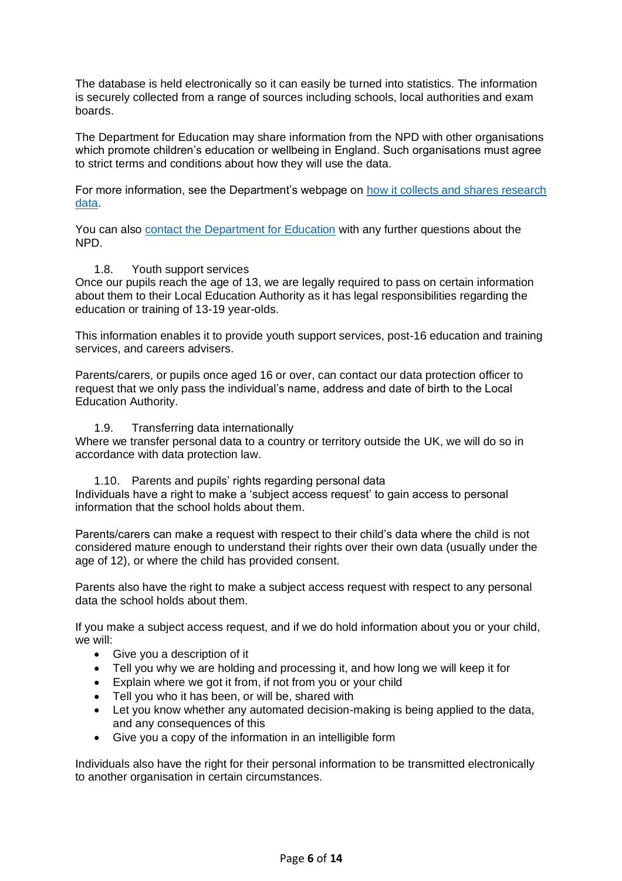The database is held electronically so it can easily be turned into statistics. The information is securely collected from a range of sources including schools, local authorities and exam boards.

The Department for Education may share information from the NPD with other organisations which promote children's education or wellbeing in England. Such organisations must agree to strict terms and conditions about how they will use the data.

For more information, see the Department's webpage on [how it collects and shares research](https://www.gov.uk/guidance/data-protection-how-we-collect-and-share-research-data)  [data.](https://www.gov.uk/guidance/data-protection-how-we-collect-and-share-research-data)

You can also [contact the Department for Education](https://www.gov.uk/contact-dfe) with any further questions about the NPD.

#### 1.8. Youth support services

Once our pupils reach the age of 13, we are legally required to pass on certain information about them to their Local Education Authority as it has legal responsibilities regarding the education or training of 13-19 year-olds.

This information enables it to provide youth support services, post-16 education and training services, and careers advisers.

Parents/carers, or pupils once aged 16 or over, can contact our data protection officer to request that we only pass the individual's name, address and date of birth to the Local Education Authority.

#### 1.9. Transferring data internationally

Where we transfer personal data to a country or territory outside the UK, we will do so in accordance with data protection law.

1.10. Parents and pupils' rights regarding personal data Individuals have a right to make a 'subject access request' to gain access to personal information that the school holds about them.

Parents/carers can make a request with respect to their child's data where the child is not considered mature enough to understand their rights over their own data (usually under the age of 12), or where the child has provided consent.

Parents also have the right to make a subject access request with respect to any personal data the school holds about them.

If you make a subject access request, and if we do hold information about you or your child, we will:

- Give you a description of it
- Tell you why we are holding and processing it, and how long we will keep it for
- Explain where we got it from, if not from you or your child
- Tell you who it has been, or will be, shared with
- Let you know whether any automated decision-making is being applied to the data, and any consequences of this
- Give you a copy of the information in an intelligible form

Individuals also have the right for their personal information to be transmitted electronically to another organisation in certain circumstances.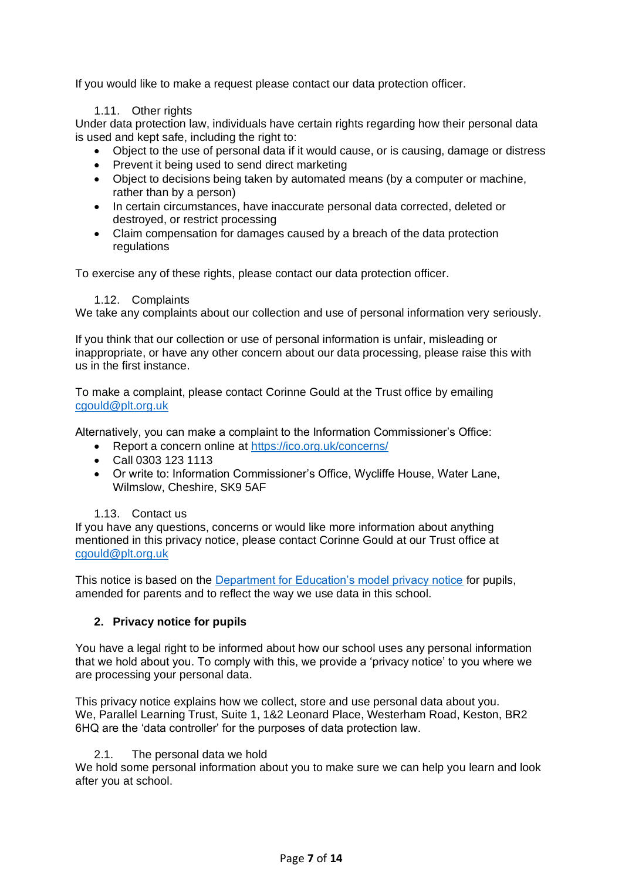If you would like to make a request please contact our data protection officer.

# 1.11. Other rights

Under data protection law, individuals have certain rights regarding how their personal data is used and kept safe, including the right to:

- Object to the use of personal data if it would cause, or is causing, damage or distress
- Prevent it being used to send direct marketing
- Object to decisions being taken by automated means (by a computer or machine, rather than by a person)
- In certain circumstances, have inaccurate personal data corrected, deleted or destroyed, or restrict processing
- Claim compensation for damages caused by a breach of the data protection regulations

To exercise any of these rights, please contact our data protection officer.

#### 1.12. Complaints

We take any complaints about our collection and use of personal information very seriously.

If you think that our collection or use of personal information is unfair, misleading or inappropriate, or have any other concern about our data processing, please raise this with us in the first instance.

To make a complaint, please contact Corinne Gould at the Trust office by emailing [cgould@plt.org.uk](mailto:cgould@plt.org.uk)

Alternatively, you can make a complaint to the Information Commissioner's Office:

- Report a concern online at<https://ico.org.uk/concerns/>
- Call 0303 123 1113
- Or write to: Information Commissioner's Office, Wycliffe House, Water Lane, Wilmslow, Cheshire, SK9 5AF

# 1.13. Contact us

If you have any questions, concerns or would like more information about anything mentioned in this privacy notice, please contact Corinne Gould at our Trust office at [cgould@plt.org.uk](mailto:cgould@plt.org.uk)

This notice is based on the [Department for Education's model privacy notice](https://www.gov.uk/government/publications/data-protection-and-privacy-privacy-notices) for pupils, amended for parents and to reflect the way we use data in this school.

# **2. Privacy notice for pupils**

You have a legal right to be informed about how our school uses any personal information that we hold about you. To comply with this, we provide a 'privacy notice' to you where we are processing your personal data.

This privacy notice explains how we collect, store and use personal data about you. We, Parallel Learning Trust, Suite 1, 1&2 Leonard Place, Westerham Road, Keston, BR2 6HQ are the 'data controller' for the purposes of data protection law.

# 2.1. The personal data we hold

We hold some personal information about you to make sure we can help you learn and look after you at school.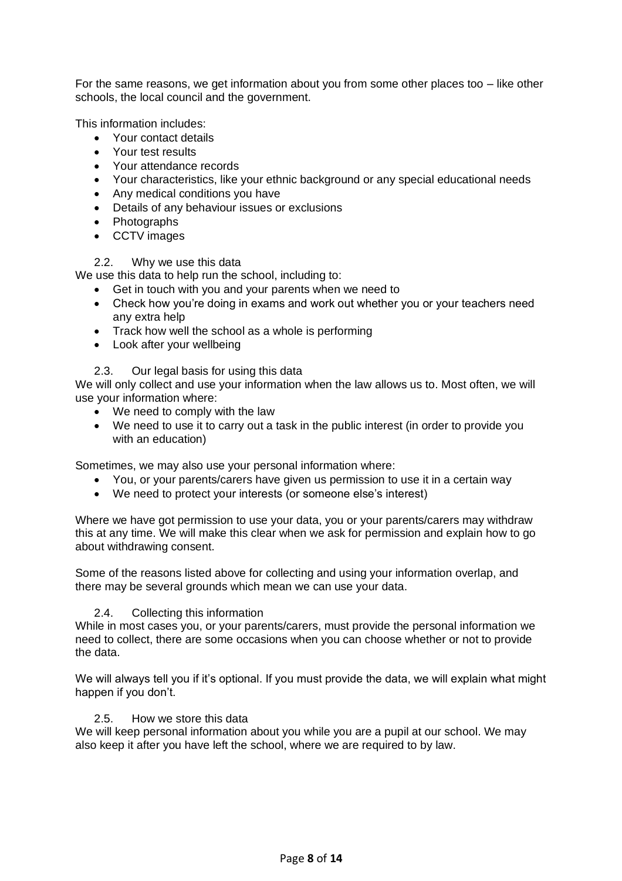For the same reasons, we get information about you from some other places too  $-$  like other schools, the local council and the government.

This information includes:

- Your contact details
- Your test results
- Your attendance records
- Your characteristics, like your ethnic background or any special educational needs
- Any medical conditions you have
- Details of any behaviour issues or exclusions
- Photographs
- CCTV images

# 2.2. Why we use this data

We use this data to help run the school, including to:

- Get in touch with you and your parents when we need to
- Check how you're doing in exams and work out whether you or your teachers need any extra help
- Track how well the school as a whole is performing
- Look after your wellbeing
- 2.3. Our legal basis for using this data

We will only collect and use your information when the law allows us to. Most often, we will use your information where:

- We need to comply with the law
- We need to use it to carry out a task in the public interest (in order to provide you with an education)

Sometimes, we may also use your personal information where:

- You, or your parents/carers have given us permission to use it in a certain way
- We need to protect your interests (or someone else's interest)

Where we have got permission to use your data, you or your parents/carers may withdraw this at any time. We will make this clear when we ask for permission and explain how to go about withdrawing consent.

Some of the reasons listed above for collecting and using your information overlap, and there may be several grounds which mean we can use your data.

# 2.4. Collecting this information

While in most cases you, or your parents/carers, must provide the personal information we need to collect, there are some occasions when you can choose whether or not to provide the data.

We will always tell you if it's optional. If you must provide the data, we will explain what might happen if you don't.

# 2.5. How we store this data

We will keep personal information about you while you are a pupil at our school. We may also keep it after you have left the school, where we are required to by law.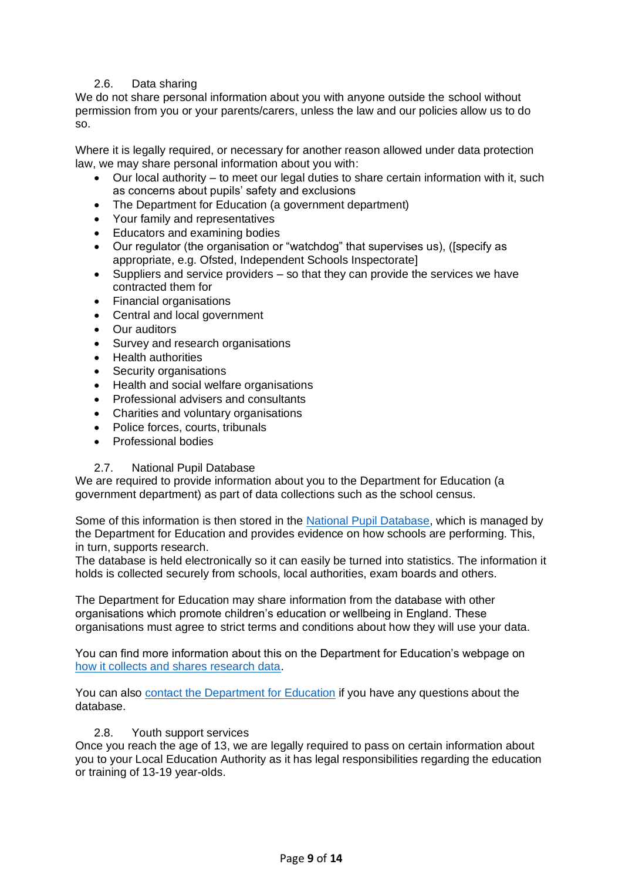# 2.6. Data sharing

We do not share personal information about you with anyone outside the school without permission from you or your parents/carers, unless the law and our policies allow us to do so.

Where it is legally required, or necessary for another reason allowed under data protection law, we may share personal information about you with:

- Our local authority to meet our legal duties to share certain information with it, such as concerns about pupils' safety and exclusions
- The Department for Education (a government department)
- Your family and representatives
- Educators and examining bodies
- Our regulator (the organisation or "watchdog" that supervises us), ([specify as appropriate, e.g. Ofsted, Independent Schools Inspectorate]
- Suppliers and service providers so that they can provide the services we have contracted them for
- Financial organisations
- Central and local government
- Our auditors
- Survey and research organisations
- Health authorities
- Security organisations
- Health and social welfare organisations
- Professional advisers and consultants
- Charities and voluntary organisations
- Police forces, courts, tribunals
- Professional bodies

# 2.7. National Pupil Database

We are required to provide information about you to the Department for Education (a government department) as part of data collections such as the school census.

Some of this information is then stored in the [National Pupil Database,](https://www.gov.uk/guidance/how-to-access-department-for-education-dfe-data-extracts) which is managed by the Department for Education and provides evidence on how schools are performing. This, in turn, supports research.

The database is held electronically so it can easily be turned into statistics. The information it holds is collected securely from schools, local authorities, exam boards and others.

The Department for Education may share information from the database with other organisations which promote children's education or wellbeing in England. These organisations must agree to strict terms and conditions about how they will use your data.

You can find more information about this on the Department for Education's webpage on [how it collects and shares research data.](https://www.gov.uk/guidance/data-protection-how-we-collect-and-share-research-data)

You can also [contact the Department for Education](https://www.gov.uk/contact-dfe) if you have any questions about the database.

# 2.8. Youth support services

Once you reach the age of 13, we are legally required to pass on certain information about you to your Local Education Authority as it has legal responsibilities regarding the education or training of 13-19 year-olds.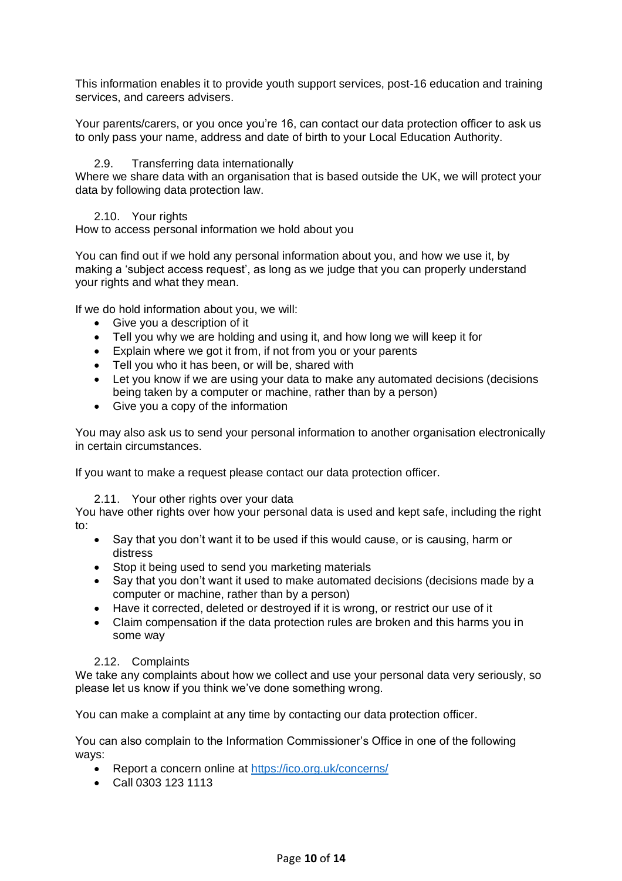This information enables it to provide youth support services, post-16 education and training services, and careers advisers.

Your parents/carers, or you once you're 16, can contact our data protection officer to ask us to only pass your name, address and date of birth to your Local Education Authority.

#### 2.9. Transferring data internationally

Where we share data with an organisation that is based outside the UK, we will protect your data by following data protection law.

#### 2.10. Your rights

How to access personal information we hold about you

You can find out if we hold any personal information about you, and how we use it, by making a 'subject access request', as long as we judge that you can properly understand your rights and what they mean.

If we do hold information about you, we will:

- Give you a description of it
- Tell you why we are holding and using it, and how long we will keep it for
- Explain where we got it from, if not from you or your parents
- Tell you who it has been, or will be, shared with
- Let you know if we are using your data to make any automated decisions (decisions being taken by a computer or machine, rather than by a person)
- Give you a copy of the information

You may also ask us to send your personal information to another organisation electronically in certain circumstances.

If you want to make a request please contact our data protection officer.

#### 2.11. Your other rights over your data

You have other rights over how your personal data is used and kept safe, including the right to:

- Say that you don't want it to be used if this would cause, or is causing, harm or distress
- Stop it being used to send you marketing materials
- Say that you don't want it used to make automated decisions (decisions made by a computer or machine, rather than by a person)
- Have it corrected, deleted or destroyed if it is wrong, or restrict our use of it
- Claim compensation if the data protection rules are broken and this harms you in some way

#### 2.12. Complaints

We take any complaints about how we collect and use your personal data very seriously, so please let us know if you think we've done something wrong.

You can make a complaint at any time by contacting our data protection officer.

You can also complain to the Information Commissioner's Office in one of the following ways:

- Report a concern online at<https://ico.org.uk/concerns/>
- Call 0303 123 1113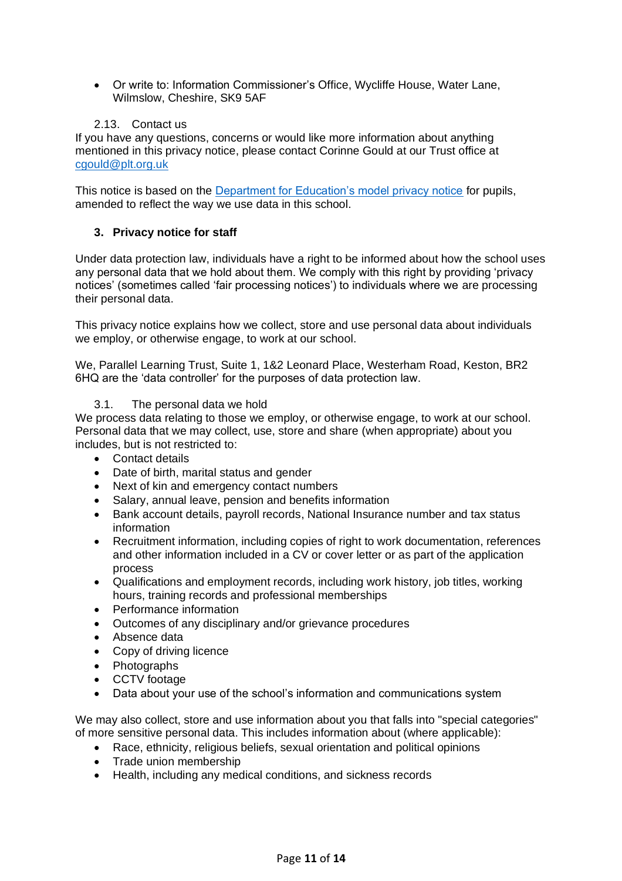• Or write to: Information Commissioner's Office, Wycliffe House, Water Lane, Wilmslow, Cheshire, SK9 5AF

# 2.13. Contact us

If you have any questions, concerns or would like more information about anything mentioned in this privacy notice, please contact Corinne Gould at our Trust office at [cgould@plt.org.uk](mailto:cgould@plt.org.uk)

This notice is based on the [Department for Education's model privacy notice](https://www.gov.uk/government/publications/data-protection-and-privacy-privacy-notices) for pupils, amended to reflect the way we use data in this school.

# **3. Privacy notice for staff**

Under data protection law, individuals have a right to be informed about how the school uses any personal data that we hold about them. We comply with this right by providing 'privacy notices' (sometimes called 'fair processing notices') to individuals where we are processing their personal data.

This privacy notice explains how we collect, store and use personal data about individuals we employ, or otherwise engage, to work at our school.

We, Parallel Learning Trust, Suite 1, 1&2 Leonard Place, Westerham Road, Keston, BR2 6HQ are the 'data controller' for the purposes of data protection law.

# 3.1. The personal data we hold

We process data relating to those we employ, or otherwise engage, to work at our school. Personal data that we may collect, use, store and share (when appropriate) about you includes, but is not restricted to:

- Contact details
- Date of birth, marital status and gender
- Next of kin and emergency contact numbers
- Salary, annual leave, pension and benefits information
- Bank account details, payroll records, National Insurance number and tax status information
- Recruitment information, including copies of right to work documentation, references and other information included in a CV or cover letter or as part of the application process
- Qualifications and employment records, including work history, job titles, working hours, training records and professional memberships
- Performance information
- Outcomes of any disciplinary and/or grievance procedures
- Absence data
- Copy of driving licence
- Photographs
- CCTV footage
- Data about your use of the school's information and communications system

We may also collect, store and use information about you that falls into "special categories" of more sensitive personal data. This includes information about (where applicable):

- Race, ethnicity, religious beliefs, sexual orientation and political opinions
- Trade union membership
- Health, including any medical conditions, and sickness records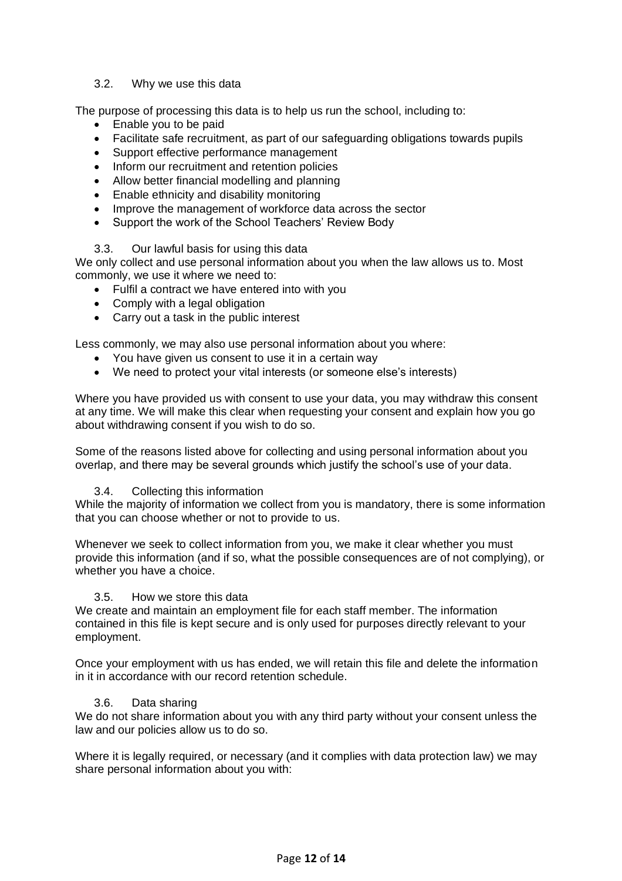# 3.2. Why we use this data

The purpose of processing this data is to help us run the school, including to:

- Enable you to be paid
- Facilitate safe recruitment, as part of our safeguarding obligations towards pupils
- Support effective performance management
- Inform our recruitment and retention policies
- Allow better financial modelling and planning
- Enable ethnicity and disability monitoring
- Improve the management of workforce data across the sector
- Support the work of the School Teachers' Review Body

# 3.3. Our lawful basis for using this data

We only collect and use personal information about you when the law allows us to. Most commonly, we use it where we need to:

- Fulfil a contract we have entered into with you
- Comply with a legal obligation
- Carry out a task in the public interest

Less commonly, we may also use personal information about you where:

- You have given us consent to use it in a certain way
- We need to protect your vital interests (or someone else's interests)

Where you have provided us with consent to use your data, you may withdraw this consent at any time. We will make this clear when requesting your consent and explain how you go about withdrawing consent if you wish to do so.

Some of the reasons listed above for collecting and using personal information about you overlap, and there may be several grounds which justify the school's use of your data.

# 3.4. Collecting this information

While the majority of information we collect from you is mandatory, there is some information that you can choose whether or not to provide to us.

Whenever we seek to collect information from you, we make it clear whether you must provide this information (and if so, what the possible consequences are of not complying), or whether you have a choice.

# 3.5. How we store this data

We create and maintain an employment file for each staff member. The information contained in this file is kept secure and is only used for purposes directly relevant to your employment.

Once your employment with us has ended, we will retain this file and delete the information in it in accordance with our record retention schedule.

# 3.6. Data sharing

We do not share information about you with any third party without your consent unless the law and our policies allow us to do so.

Where it is legally required, or necessary (and it complies with data protection law) we may share personal information about you with: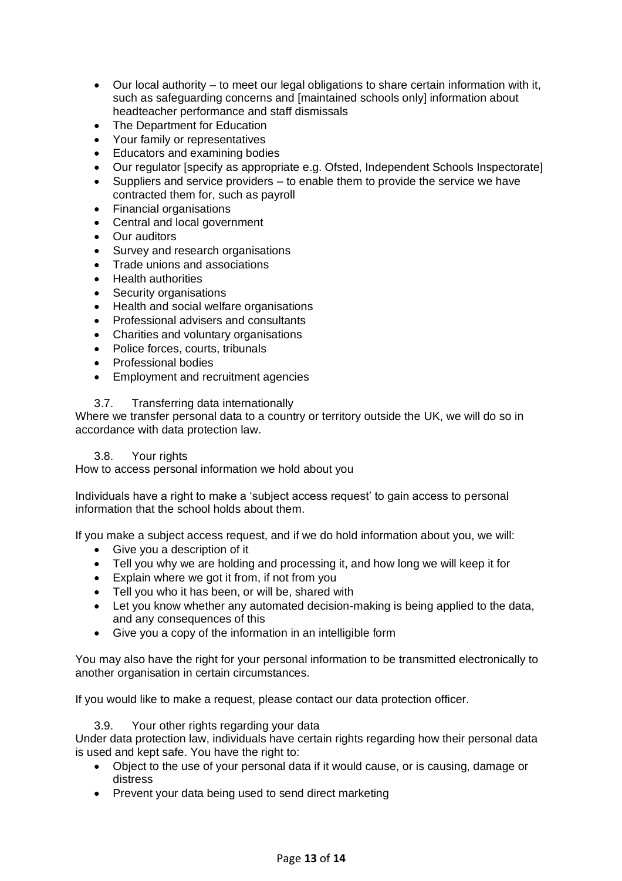- Our local authority to meet our legal obligations to share certain information with it, such as safeguarding concerns and [maintained schools only] information about headteacher performance and staff dismissals
- The Department for Education
- Your family or representatives
- Educators and examining bodies
- Our regulator [specify as appropriate e.g. Ofsted, Independent Schools Inspectorate]
- Suppliers and service providers to enable them to provide the service we have contracted them for, such as payroll
- Financial organisations
- Central and local government
- Our auditors
- Survey and research organisations
- Trade unions and associations
- Health authorities
- Security organisations
- Health and social welfare organisations
- Professional advisers and consultants
- Charities and voluntary organisations
- Police forces, courts, tribunals
- Professional bodies
- Employment and recruitment agencies

# 3.7. Transferring data internationally

Where we transfer personal data to a country or territory outside the UK, we will do so in accordance with data protection law.

# 3.8. Your rights

How to access personal information we hold about you

Individuals have a right to make a 'subject access request' to gain access to personal information that the school holds about them.

If you make a subject access request, and if we do hold information about you, we will:

- Give you a description of it
- Tell you why we are holding and processing it, and how long we will keep it for
- Explain where we got it from, if not from you
- Tell you who it has been, or will be, shared with
- Let you know whether any automated decision-making is being applied to the data, and any consequences of this
- Give you a copy of the information in an intelligible form

You may also have the right for your personal information to be transmitted electronically to another organisation in certain circumstances.

If you would like to make a request, please contact our data protection officer.

3.9. Your other rights regarding your data

Under data protection law, individuals have certain rights regarding how their personal data is used and kept safe. You have the right to:

- Object to the use of your personal data if it would cause, or is causing, damage or distress
- Prevent your data being used to send direct marketing